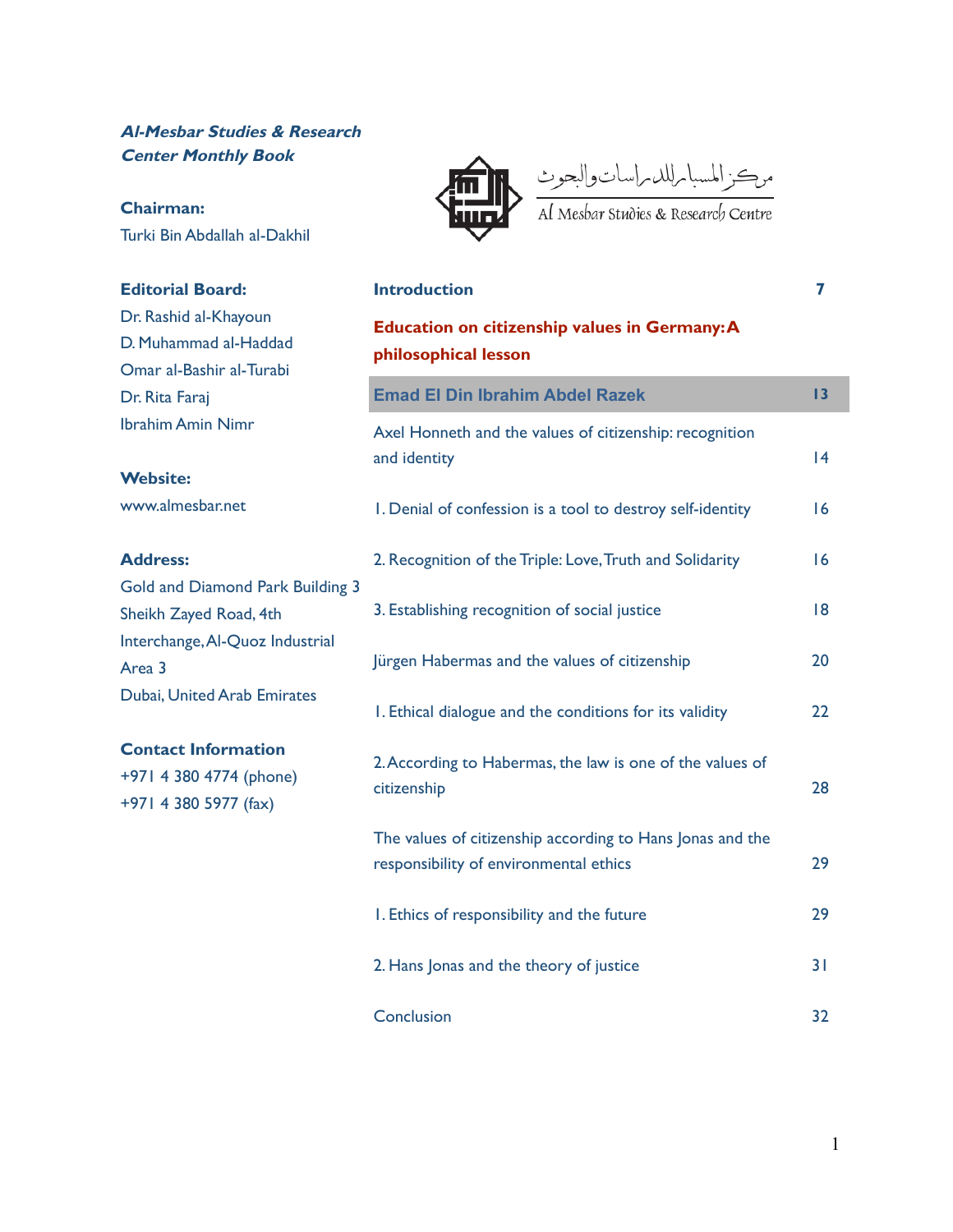### **Al-Mesbar Studies & Research Center Monthly Book**

## **Chairman:**

Turki Bin Abdallah al-Dakhil

### **Editorial Board:**

Dr. Rashid al-Khayoun D. Muhammad al-Haddad Omar al-Bashir al-Turabi Dr. Rita Faraj Ibrahim Amin Nimr

#### **Website:**

www.almesbar.net

#### **Address:**

Gold and Diamond Park Building 3 Sheikh Zayed Road, 4th Interchange,Al-Quoz Industrial Area 3 Dubai, United Arab Emirates

#### **Contact Information**

+971 4 380 4774 (phone) +971 4 380 5977 (fax)



موكز المسبا مللد مراسات والبحوث<br>Al Mesbar studies & Research Centre

**Introduction 7**

| <b>Education on citizenship values in Germany: A</b><br>philosophical lesson                        |    |
|-----------------------------------------------------------------------------------------------------|----|
| <b>Emad El Din Ibrahim Abdel Razek</b>                                                              | 13 |
| Axel Honneth and the values of citizenship: recognition<br>and identity                             | 14 |
| I. Denial of confession is a tool to destroy self-identity                                          | 16 |
| 2. Recognition of the Triple: Love, Truth and Solidarity                                            | 16 |
| 3. Establishing recognition of social justice                                                       | 8  |
| Jürgen Habermas and the values of citizenship                                                       | 20 |
| I. Ethical dialogue and the conditions for its validity                                             | 22 |
| 2. According to Habermas, the law is one of the values of<br>citizenship                            | 28 |
| The values of citizenship according to Hans Jonas and the<br>responsibility of environmental ethics | 29 |
| I. Ethics of responsibility and the future                                                          | 29 |
| 2. Hans Jonas and the theory of justice                                                             | 31 |
| Conclusion                                                                                          | 32 |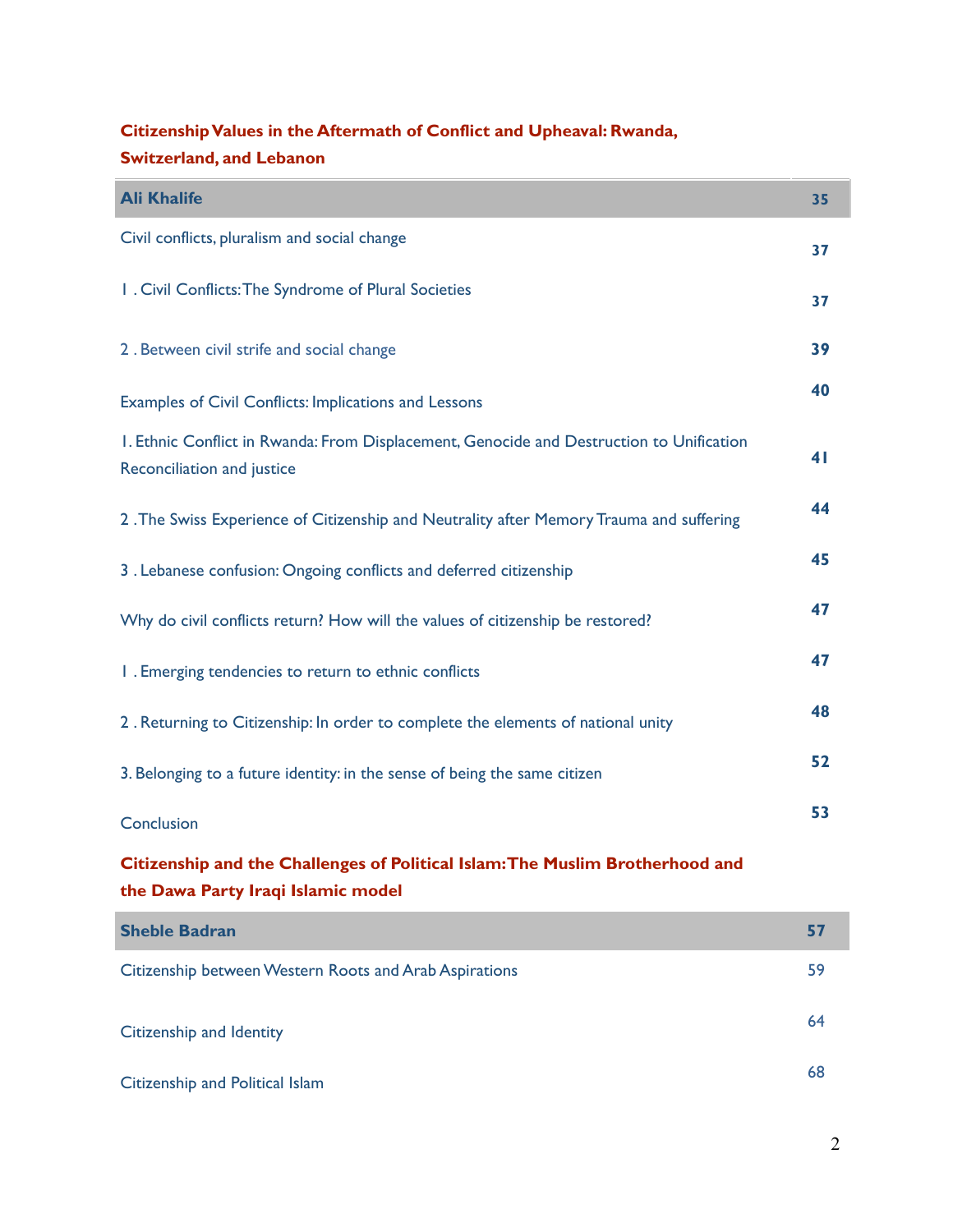# **CitizenshipValues in the Aftermath of Conflict and Upheaval: Rwanda, Switzerland, and Lebanon**

| <b>Ali Khalife</b>                                                                                                     | 35 |
|------------------------------------------------------------------------------------------------------------------------|----|
| Civil conflicts, pluralism and social change                                                                           | 37 |
| I. Civil Conflicts: The Syndrome of Plural Societies                                                                   | 37 |
| 2. Between civil strife and social change                                                                              | 39 |
| Examples of Civil Conflicts: Implications and Lessons                                                                  | 40 |
| I. Ethnic Conflict in Rwanda: From Displacement, Genocide and Destruction to Unification<br>Reconciliation and justice | 41 |
| 2. The Swiss Experience of Citizenship and Neutrality after Memory Trauma and suffering                                | 44 |
| 3. Lebanese confusion: Ongoing conflicts and deferred citizenship                                                      | 45 |
| Why do civil conflicts return? How will the values of citizenship be restored?                                         | 47 |
| I. Emerging tendencies to return to ethnic conflicts                                                                   | 47 |
| 2. Returning to Citizenship: In order to complete the elements of national unity                                       | 48 |
| 3. Belonging to a future identity: in the sense of being the same citizen                                              | 52 |
| Conclusion                                                                                                             | 53 |
| Citizenship and the Challenges of Political Islam: The Muslim Brotherhood and<br>the Dawa Party Iraqi Islamic model    |    |

| <b>Sheble Badran</b>                                   | 57 |
|--------------------------------------------------------|----|
| Citizenship between Western Roots and Arab Aspirations | 59 |
| Citizenship and Identity                               | 64 |
| Citizenship and Political Islam                        | 68 |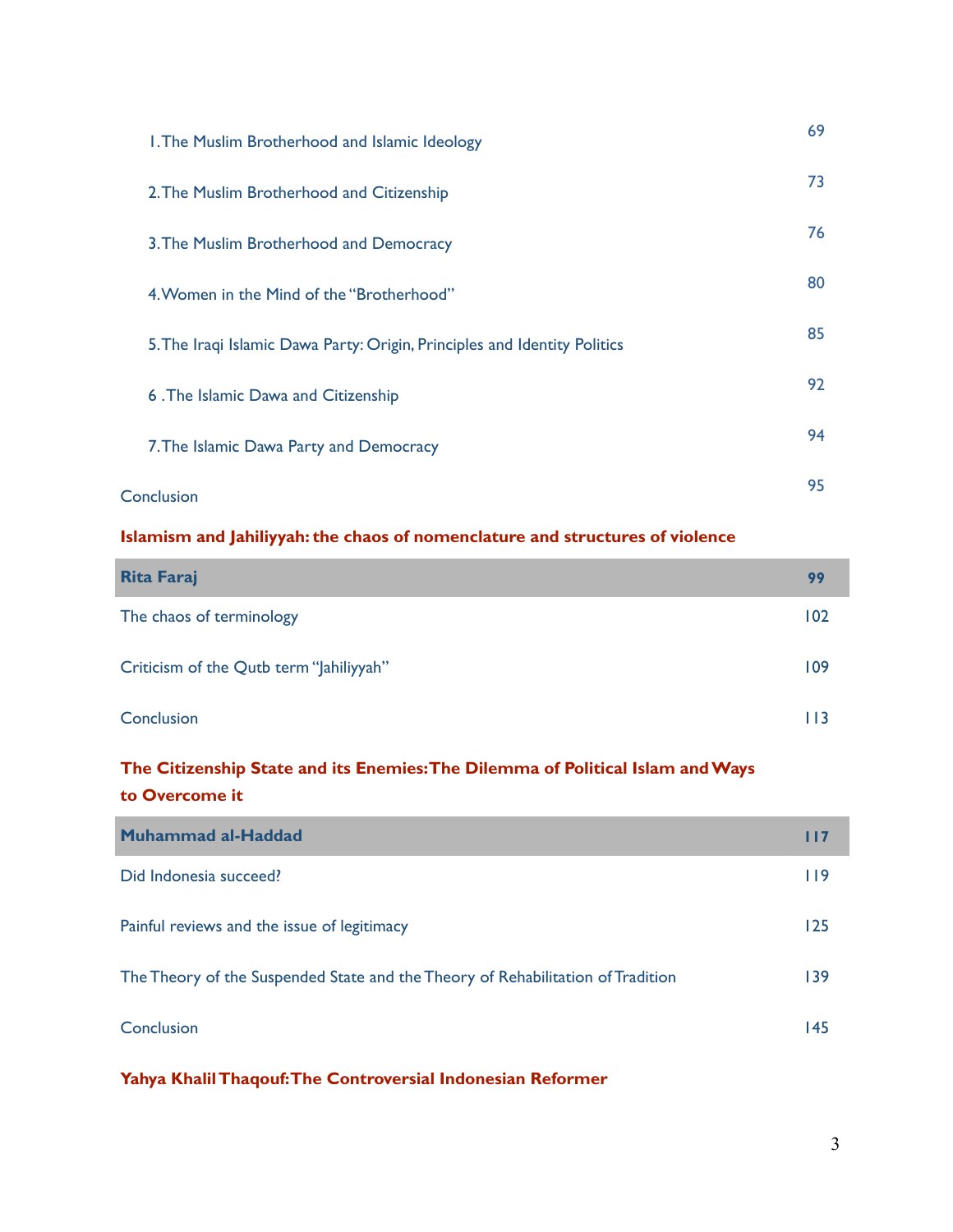| I. The Muslim Brotherhood and Islamic Ideology                            | 69 |
|---------------------------------------------------------------------------|----|
| 2. The Muslim Brotherhood and Citizenship                                 | 73 |
| 3. The Muslim Brotherhood and Democracy                                   | 76 |
| 4. Women in the Mind of the "Brotherhood"                                 | 80 |
| 5. The Iraqi Islamic Dawa Party: Origin, Principles and Identity Politics | 85 |
| 6. The Islamic Dawa and Citizenship                                       | 92 |
| 7. The Islamic Dawa Party and Democracy                                   | 94 |
| Conclusion                                                                | 95 |

### **Islamism and Jahiliyyah: the chaos of nomenclature and structures of violence**

| <b>Rita Faraj</b>                       | 99  |
|-----------------------------------------|-----|
| The chaos of terminology                | 102 |
| Criticism of the Qutb term "Jahiliyyah" | 109 |
| Conclusion                              | 113 |

## **The Citizenship State and its Enemies:The Dilemma of Political Islam andWays to Overcome it**

| Muhammad al-Haddad                                                              | 117         |
|---------------------------------------------------------------------------------|-------------|
| Did Indonesia succeed?                                                          | <u> 119</u> |
| Painful reviews and the issue of legitimacy                                     | 125         |
| The Theory of the Suspended State and the Theory of Rehabilitation of Tradition | 139         |
| Conclusion                                                                      | 145         |

**Yahya KhalilThaqouf:The Controversial Indonesian Reformer**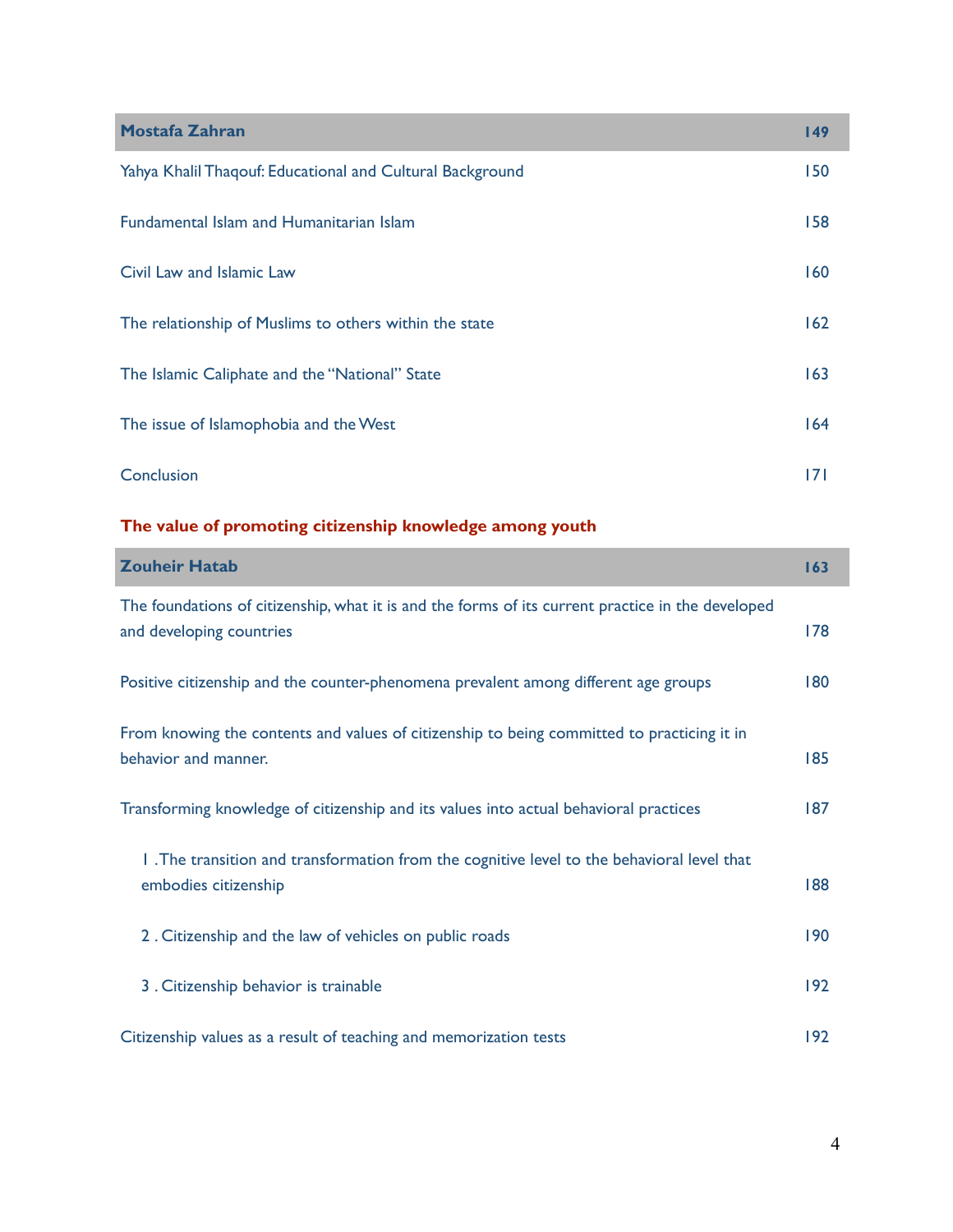| <b>Mostafa Zahran</b>                                     | 149 |
|-----------------------------------------------------------|-----|
| Yahya Khalil Thaqouf: Educational and Cultural Background | 150 |
| <b>Fundamental Islam and Humanitarian Islam</b>           | 158 |
| Civil Law and Islamic Law                                 | 160 |
| The relationship of Muslims to others within the state    | 162 |
| The Islamic Caliphate and the "National" State            | 163 |
| The issue of Islamophobia and the West                    | 164 |
| Conclusion                                                | 171 |

## **The value of promoting citizenship knowledge among youth**

| <b>Zouheir Hatab</b>                                                                                                          | 163 |
|-------------------------------------------------------------------------------------------------------------------------------|-----|
| The foundations of citizenship, what it is and the forms of its current practice in the developed<br>and developing countries | 178 |
| Positive citizenship and the counter-phenomena prevalent among different age groups                                           | 180 |
| From knowing the contents and values of citizenship to being committed to practicing it in<br>behavior and manner.            | 185 |
| Transforming knowledge of citizenship and its values into actual behavioral practices                                         |     |
| 1. The transition and transformation from the cognitive level to the behavioral level that<br>embodies citizenship            | 188 |
| 2. Citizenship and the law of vehicles on public roads                                                                        | 190 |
| 3. Citizenship behavior is trainable                                                                                          | 192 |
| Citizenship values as a result of teaching and memorization tests                                                             |     |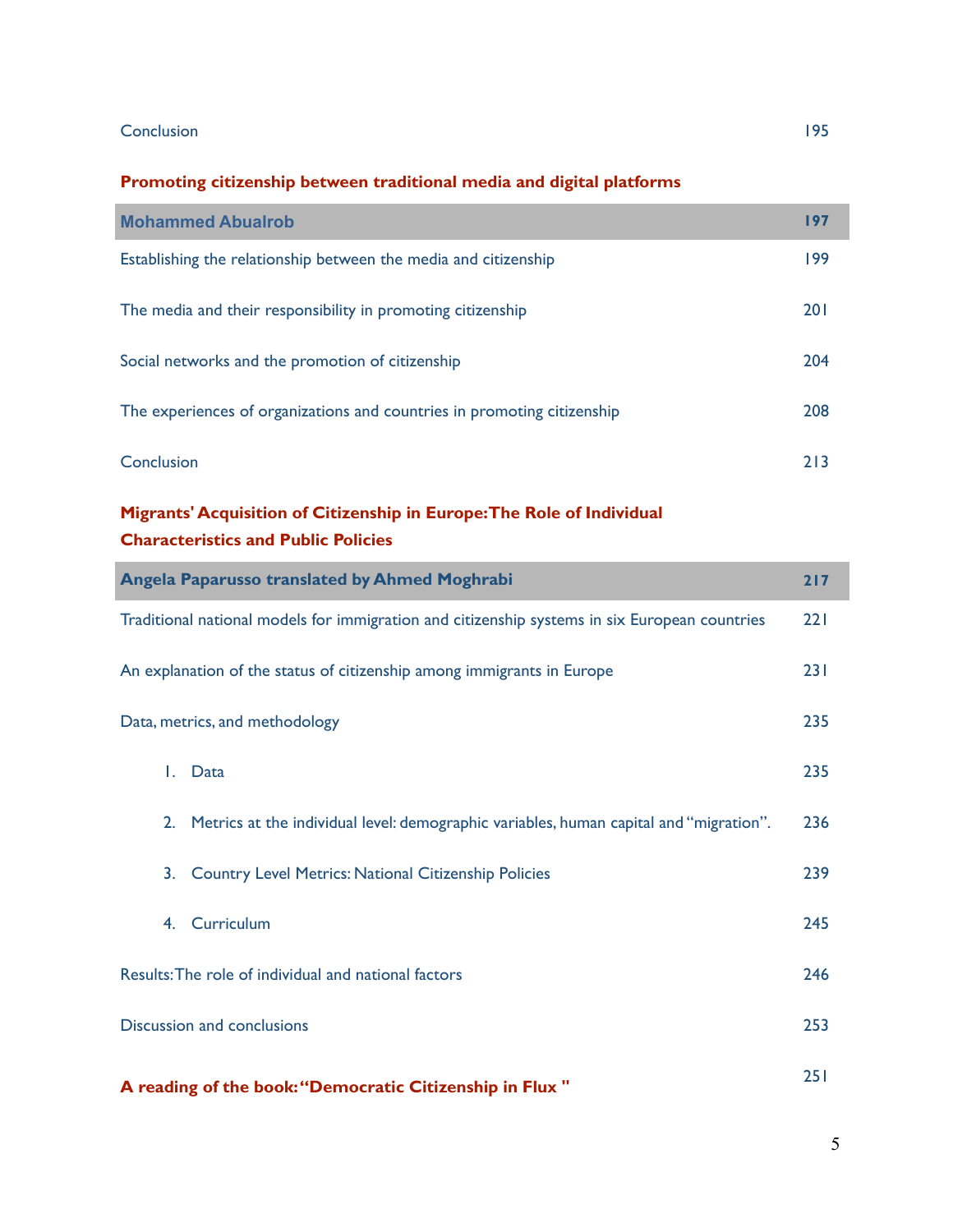#### Conclusion 195

### **Promoting citizenship between traditional media and digital platforms**

| <b>Mohammed Abualrob</b>                                                | 197 |
|-------------------------------------------------------------------------|-----|
| Establishing the relationship between the media and citizenship         | 199 |
| The media and their responsibility in promoting citizenship             | 201 |
| Social networks and the promotion of citizenship                        | 204 |
| The experiences of organizations and countries in promoting citizenship | 208 |
| Conclusion                                                              | 213 |

## **Migrants' Acquisition of Citizenship in Europe:The Role of Individual Characteristics and Public Policies**

| <b>Angela Paparusso translated by Ahmed Moghrabi</b>                                          | 217 |
|-----------------------------------------------------------------------------------------------|-----|
| Traditional national models for immigration and citizenship systems in six European countries | 221 |
| An explanation of the status of citizenship among immigrants in Europe                        | 231 |
| Data, metrics, and methodology                                                                | 235 |
| L.<br>Data                                                                                    | 235 |
| Metrics at the individual level: demographic variables, human capital and "migration".<br>2.  | 236 |
| <b>Country Level Metrics: National Citizenship Policies</b><br>3.                             | 239 |
| Curriculum<br>4.                                                                              | 245 |
| Results: The role of individual and national factors                                          | 246 |
| Discussion and conclusions                                                                    | 253 |
| A reading of the book: "Democratic Citizenship in Flux"                                       | 251 |